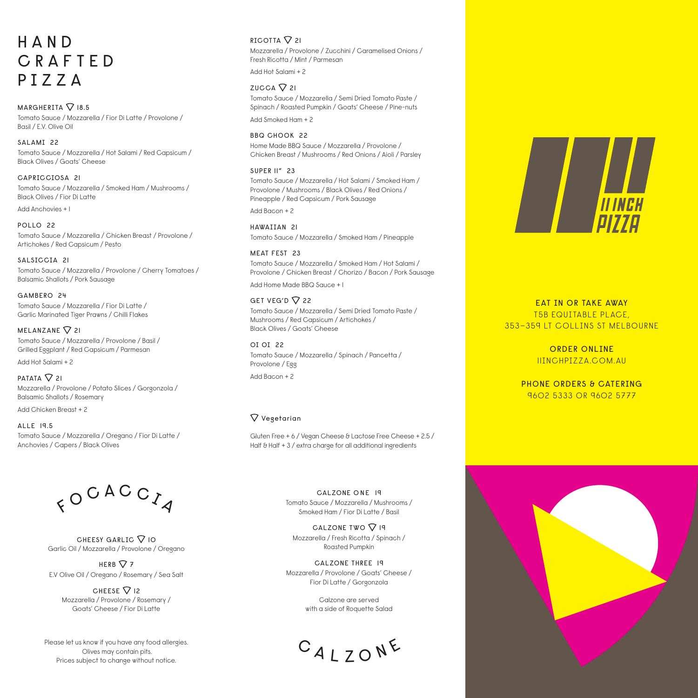### H A N D CRAFTED PIZZA

 $MARGHERITA$   $\nabla$  18.5 Tomato Sauce / Mozzarella / Fior Di Latte / Provolone / Basil / E.V. Olive Oil

SALAMI<sub>22</sub> Tomato Sauce / Mozzarella / Hot Salami / Red Capsicum / Black Olives / Goats' Cheese

CAPRICCIOSA 21 Tomato Sauce / Mozzarella / Smoked Ham / Mushrooms / Black Olives / Fior Di Latte

Add Anchovies + 1

POLLO 22 Tomato Sauce / Mozzarella / Chicken Breast / Provolone / Artichokes / Red Capsicum / Pesto

SALSICCIA 21 Tomato Sauce / Mozzarella / Provolone / Cherry Tomatoes / Balsamic Shallots / Pork Sausage

GAMBERO 24 Tomato Sauce / Mozzarella / Fior Di Latte / Garlic Marinated Tiger Prawns / Chilli Flakes

MELANZANE  $\nabla$  21 Tomato Sauce / Mozzarella / Provolone / Basil / Grilled Eggplant / Red Capsicum / Parmesan

Add Hot Salami + 2

PATATA  $\nabla$  21 Mozzarella / Provolone / Potato Slices / Gorgonzola / Balsamic Shallots / Rosemary

Add Chicken Breast + 2

ALLE 19.5 Tomato Sauce / Mozzarella / Oregano / Fior Di Latte / Anchovies / Capers / Black Olives

> CHEESY GARLIC  $\nabla$  10 Garlic Oil / Mozzarella / Provolone / Oregano HERB  $\nabla$  7 E.V Olive Oil / Oregano / Rosemary / Sea Salt CHEESE  $\nabla$  12 Mozzarella / Provolone / Rosemary / Goats' Cheese / Fior Di Latte

 $80$  C A C C  $14$ 

Please let us know if you have any food allergies. Olives may contain pits. Prices subject to change without notice.

### RICOTTA  $\nabla$  21

Mozzarella / Provolone / Zucchini / Caramelised Onions / Fresh Ricotta / Mint / Parmesan

Add Hot Salami + 2

 $ZUCCA$   $Q$  21

Tomato Sauce / Mozzarella / Semi Dried Tomato Paste / Spinach / Roasted Pumpkin / Goats' Cheese / Pine-nuts Add Smoked Ham + 2

BBQ CHOOK 22 Home Made BBQ Sauce / Mozzarella / Provolone / Chicken Breast / Mushrooms / Red Onions / Aioli / Parsley

#### SUPER II" 23

Tomato Sauce / Mozzarella / Hot Salami / Smoked Ham / Provolone / Mushrooms / Black Olives / Red Onions / Pineapple / Red Capsicum / Pork Sausage

Add Bacon + 2

HAWAIIAN 21 Tomato Sauce / Mozzarella / Smoked Ham / Pineapple

#### MEAT FEST 23

Tomato Sauce / Mozzarella / Smoked Ham / Hot Salami / Provolone / Chicken Breast / Chorizo / Bacon / Pork Sausage

Add Home Made BBQ Sauce + 1

#### GET VEG'D  $\nabla$  22

Tomato Sauce / Mozzarella / Semi Dried Tomato Paste / Mushrooms / Red Capsicum / Artichokes / Black Olives / Goats' Cheese

OI OI 22 Tomato Sauce / Mozzarella / Spinach / Pancetta / Provolone / Egg Add Bacon + 2

### $\nabla$  Vegetarian

Gluten Free + 6 / Vegan Cheese & Lactose Free Cheese + 2.5 / Half & Half + 3 / extra charge for all additional ingredients

> CALZONE ONE 19 Tomato Sauce / Mozzarella / Mushrooms / Smoked Ham / Fior Di Latte / Basil

CALZONE TWO  $\nabla$  19 Mozzarella / Fresh Ricotta / Spinach / Roasted Pumpkin

CALZONE THREE 19 Mozzarella / Provolone / Goats' Cheese / Fior Di Latte / Gorgonzola

> Calzone are served with a side of Roquette Salad

CALZONE



EAT IN OR TAKE AWAY T5B EQUITABLE PLACE, 353–359 LT COLLINS ST MELBOURNE

> ORDER ONLINE 11INCHPIZZA.COM.AU

PHONE ORDERS & CATERING 9602 5333 OR 9602 5777